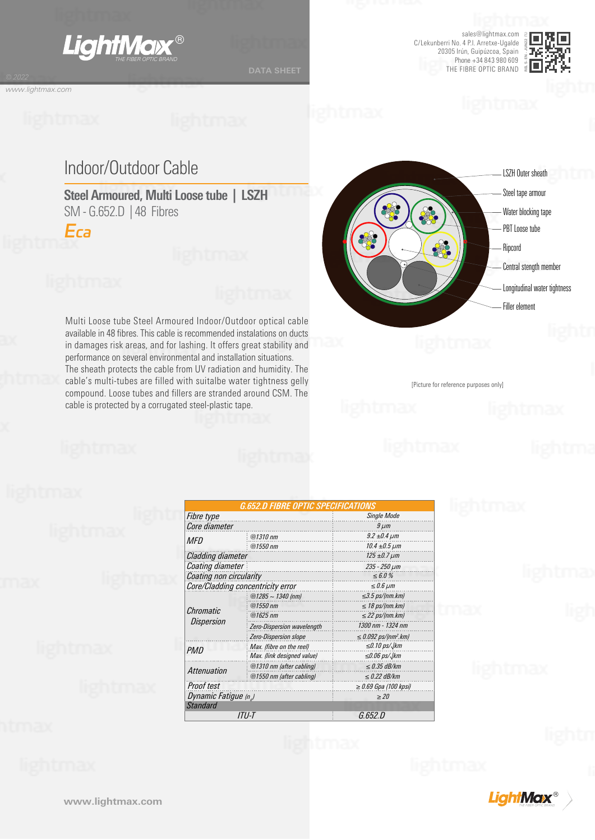

sales@lightmax.com C/Lekunberri No. 4 P.I. Arretxe-Ugalde 20305 Irún, Guipúzcoa, Spain Phone +34 843 980 609 THE FIBRE OPTIC BRAND



*www.lightmax.com*

# Indoor/Outdoor Cable

**Steel Armoured, Multi Loose tube | LSZH** SM - G.652.D | 48 Fibres

*Eca*

Multi Loose tube Steel Armoured Indoor/Outdoor optical cable available in 48 fibres. This cable is recommended instalations on ducts in damages risk areas, and for lashing. It offers great stability and performance on several environmental and installation situations. The sheath protects the cable from UV radiation and humidity. The cable's multi-tubes are filled with suitalbe water tightness gelly compound. Loose tubes and fillers are stranded around CSM. The cable is protected by a corrugated steel-plastic tape.



[Picture for reference purposes only]

|                                   | <i><b>G.652.D FIBRE OPTIC SPECIFICATIONS</b></i><br><b>Single Mode</b> |                                       |  |
|-----------------------------------|------------------------------------------------------------------------|---------------------------------------|--|
| Fibre type<br>Core diameter       | $9 \mu m$                                                              |                                       |  |
| MFD                               | $@1310$ nm                                                             | $9.2 \pm 0.4 \,\mu m$                 |  |
|                                   | $@1550$ nm                                                             | $10.4 \pm 0.5 \,\mu m$                |  |
| Cladding diameter                 | $125 \pm 0.7 \,\mu m$                                                  |                                       |  |
| Coating diameter                  | $235 - 250 \mu m$                                                      |                                       |  |
| Coating non circularity           | $\le 6.0 \%$                                                           |                                       |  |
| Core/Cladding concentricity error | $\leq 0.6 \mu m$                                                       |                                       |  |
| Chromatic<br><b>Dispersion</b>    | @1285 ~ 1340 (nm)                                                      | $\leq$ 3.5 ps/(nm.km)                 |  |
|                                   | $@1550$ nm                                                             | $\leq$ 18 ps/(nm.km)                  |  |
|                                   | $@1625$ <sub>nm</sub>                                                  | $\leq$ 22 ps/(nm.km)                  |  |
|                                   | Zero-Dispersion wavelength                                             | 1300 nm - 1324 nm                     |  |
|                                   | <b>Zero-Dispersion slope</b>                                           | $\leq$ 0.092 ps/(nm <sup>2</sup> .km) |  |
| <b>PMD</b>                        | Max. (fibre on the reel)                                               | $\leq$ 0.10 ps/ $\sqrt{k}$ m          |  |
|                                   | Max. (link designed value)                                             | $\leq 0.06$ ps/ $\sqrt{k}$ m          |  |
| Attenuation                       | @1310 nm (after cabling)                                               | $\leq$ 0.35 dB/km                     |  |
|                                   | @1550 nm (after cabling)                                               | $\leq$ 0.22 dB/km                     |  |
| Proof test                        |                                                                        | $\geq$ 0.69 Gpa (100 kpsi)            |  |
| Dynamic Fatigue (n <sub>a</sub> ) | >20                                                                    |                                       |  |
| Standard                          |                                                                        |                                       |  |
| ITU-T                             | G.652.D                                                                |                                       |  |

**LightMax**®